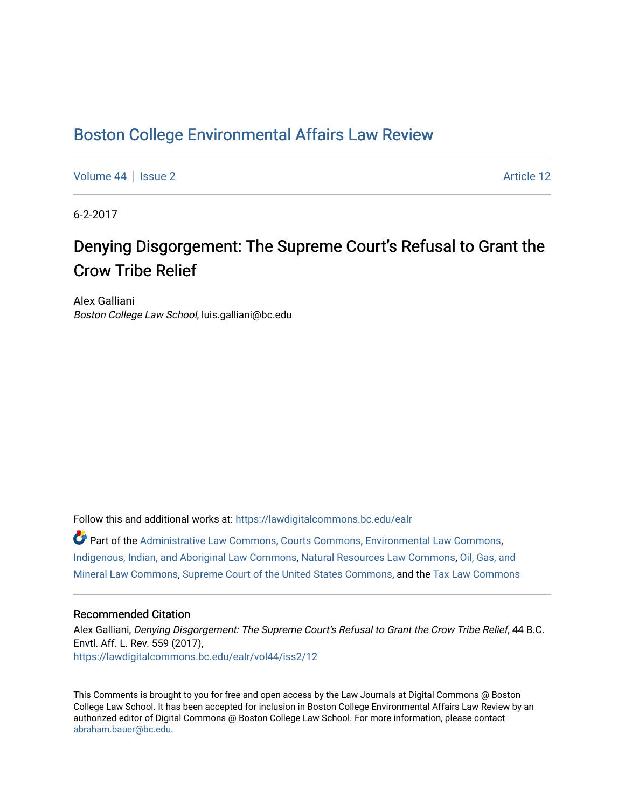## [Boston College Environmental Affairs Law Review](https://lawdigitalcommons.bc.edu/ealr)

[Volume 44](https://lawdigitalcommons.bc.edu/ealr/vol44) | [Issue 2](https://lawdigitalcommons.bc.edu/ealr/vol44/iss2) Article 12

6-2-2017

# Denying Disgorgement: The Supreme Court's Refusal to Grant the Crow Tribe Relief

Alex Galliani Boston College Law School, luis.galliani@bc.edu

Follow this and additional works at: [https://lawdigitalcommons.bc.edu/ealr](https://lawdigitalcommons.bc.edu/ealr?utm_source=lawdigitalcommons.bc.edu%2Fealr%2Fvol44%2Fiss2%2F12&utm_medium=PDF&utm_campaign=PDFCoverPages) 

Part of the [Administrative Law Commons,](http://network.bepress.com/hgg/discipline/579?utm_source=lawdigitalcommons.bc.edu%2Fealr%2Fvol44%2Fiss2%2F12&utm_medium=PDF&utm_campaign=PDFCoverPages) [Courts Commons,](http://network.bepress.com/hgg/discipline/839?utm_source=lawdigitalcommons.bc.edu%2Fealr%2Fvol44%2Fiss2%2F12&utm_medium=PDF&utm_campaign=PDFCoverPages) [Environmental Law Commons](http://network.bepress.com/hgg/discipline/599?utm_source=lawdigitalcommons.bc.edu%2Fealr%2Fvol44%2Fiss2%2F12&utm_medium=PDF&utm_campaign=PDFCoverPages), [Indigenous, Indian, and Aboriginal Law Commons,](http://network.bepress.com/hgg/discipline/894?utm_source=lawdigitalcommons.bc.edu%2Fealr%2Fvol44%2Fiss2%2F12&utm_medium=PDF&utm_campaign=PDFCoverPages) [Natural Resources Law Commons](http://network.bepress.com/hgg/discipline/863?utm_source=lawdigitalcommons.bc.edu%2Fealr%2Fvol44%2Fiss2%2F12&utm_medium=PDF&utm_campaign=PDFCoverPages), [Oil, Gas, and](http://network.bepress.com/hgg/discipline/864?utm_source=lawdigitalcommons.bc.edu%2Fealr%2Fvol44%2Fiss2%2F12&utm_medium=PDF&utm_campaign=PDFCoverPages) [Mineral Law Commons](http://network.bepress.com/hgg/discipline/864?utm_source=lawdigitalcommons.bc.edu%2Fealr%2Fvol44%2Fiss2%2F12&utm_medium=PDF&utm_campaign=PDFCoverPages), [Supreme Court of the United States Commons](http://network.bepress.com/hgg/discipline/1350?utm_source=lawdigitalcommons.bc.edu%2Fealr%2Fvol44%2Fiss2%2F12&utm_medium=PDF&utm_campaign=PDFCoverPages), and the [Tax Law Commons](http://network.bepress.com/hgg/discipline/898?utm_source=lawdigitalcommons.bc.edu%2Fealr%2Fvol44%2Fiss2%2F12&utm_medium=PDF&utm_campaign=PDFCoverPages) 

## Recommended Citation

Alex Galliani, Denying Disgorgement: The Supreme Court's Refusal to Grant the Crow Tribe Relief, 44 B.C. Envtl. Aff. L. Rev. 559 (2017), [https://lawdigitalcommons.bc.edu/ealr/vol44/iss2/12](https://lawdigitalcommons.bc.edu/ealr/vol44/iss2/12?utm_source=lawdigitalcommons.bc.edu%2Fealr%2Fvol44%2Fiss2%2F12&utm_medium=PDF&utm_campaign=PDFCoverPages)

This Comments is brought to you for free and open access by the Law Journals at Digital Commons @ Boston College Law School. It has been accepted for inclusion in Boston College Environmental Affairs Law Review by an authorized editor of Digital Commons @ Boston College Law School. For more information, please contact [abraham.bauer@bc.edu.](mailto:abraham.bauer@bc.edu)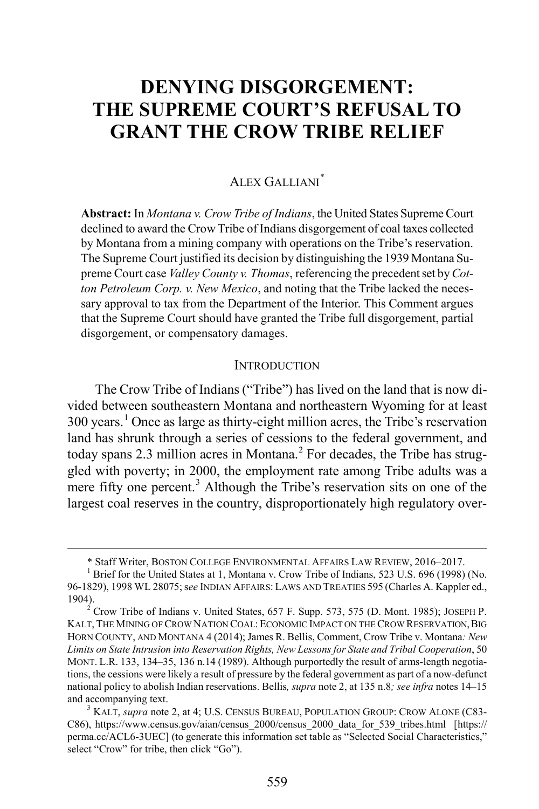## **DENYING DISGORGEMENT: THE SUPREME COURT'S REFUSAL TO GRANT THE CROW TRIBE RELIEF**

## ALEX GALLIANI[\\*](#page-1-1)

**Abstract:** In *Montana v. Crow Tribe of Indians*, the United States Supreme Court declined to award the Crow Tribe of Indians disgorgement of coal taxes collected by Montana from a mining company with operations on the Tribe's reservation. The Supreme Court justified its decision by distinguishing the 1939 Montana Supreme Court case *Valley County v. Thomas*, referencing the precedent set by *Cotton Petroleum Corp. v. New Mexico*, and noting that the Tribe lacked the necessary approval to tax from the Department of the Interior. This Comment argues that the Supreme Court should have granted the Tribe full disgorgement, partial disgorgement, or compensatory damages.

#### <span id="page-1-0"></span>**INTRODUCTION**

<span id="page-1-5"></span>The Crow Tribe of Indians ("Tribe") has lived on the land that is now divided between southeastern Montana and northeastern Wyoming for at least 300 years. [1](#page-1-2) Once as large as thirty-eight million acres, the Tribe's reservation land has shrunk through a series of cessions to the federal government, and today spans [2](#page-1-3).3 million acres in Montana.<sup>2</sup> For decades, the Tribe has struggled with poverty; in 2000, the employment rate among Tribe adults was a mere fifty one percent.<sup>[3](#page-1-4)</sup> Although the Tribe's reservation sits on one of the largest coal reserves in the country, disproportionately high regulatory over-

 <sup>\*</sup> Staff Writer, BOSTON COLLEGE ENVIRONMENTAL AFFAIRS LAW REVIEW, 2016–2017. <sup>1</sup> Brief for the United States at 1, Montana v. Crow Tribe of Indians, 523 U.S. 696 (1998) (No.

<span id="page-1-2"></span><span id="page-1-1"></span><sup>96-1829), 1998</sup> WL 28075; s*ee* INDIAN AFFAIRS: LAWS AND TREATIES 595 (Charles A. Kappler ed.,

<span id="page-1-3"></span><sup>&</sup>lt;sup>2</sup> Crow Tribe of Indians v. United States, 657 F. Supp. 573, 575 (D. Mont. 1985); JOSEPH P. KALT, THE MINING OF CROW NATION COAL: ECONOMIC IMPACT ON THE CROW RESERVATION,BIG HORN COUNTY, AND MONTANA 4 (2014); James R. Bellis, Comment, Crow Tribe v. Montana*: New Limits on State Intrusion into Reservation Rights, New Lessons for State and Tribal Cooperation*, 50 MONT. L.R. 133, 134–35, 136 n.14 (1989). Although purportedly the result of arms-length negotiations, the cessions were likely a result of pressure by the federal government as part of a now-defunct national policy to abolish Indian reservations. Bellis*, supra* not[e 2,](#page-1-0) at 135 n.8*; see infra* note[s 14–](#page-3-0)[15](#page-3-1) and accompanying text.<br><sup>3</sup> KALT, *supra* not[e 2,](#page-1-0) at 4; U.S. CENSUS BUREAU, POPULATION GROUP: CROW ALONE (C83-

<span id="page-1-4"></span>C86), https://www.census.gov/aian/census\_2000/census\_2000\_data\_for\_539\_tribes.html [https:// perma.cc/ACL6-3UEC] (to generate this information set table as "Selected Social Characteristics," select "Crow" for tribe, then click "Go").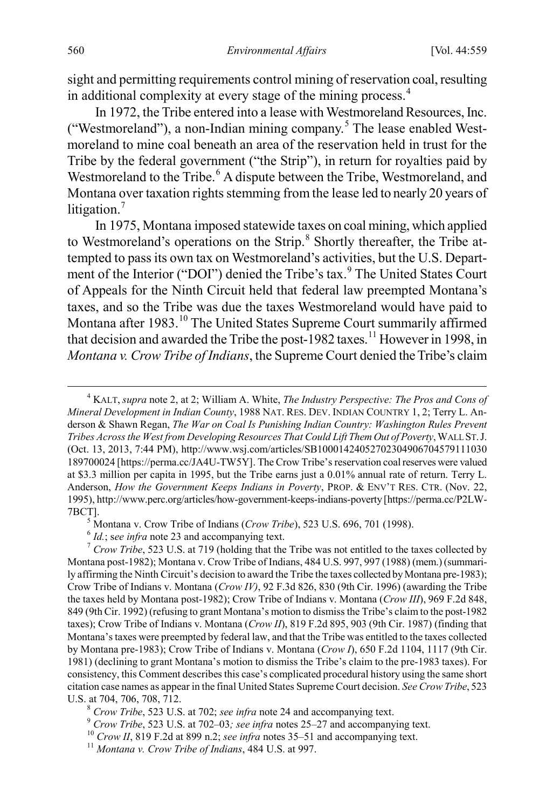<span id="page-2-8"></span>sight and permitting requirements control mining of reservation coal, resulting in additional complexity at every stage of the mining process.[4](#page-2-0)

In 1972, the Tribe entered into a lease with Westmoreland Resources, Inc. ("Westmoreland"), a non-Indian mining company.<sup>[5](#page-2-1)</sup> The lease enabled Westmoreland to mine coal beneath an area of the reservation held in trust for the Tribe by the federal government ("the Strip"), in return for royalties paid by Westmoreland to the Tribe.<sup>[6](#page-2-2)</sup> A dispute between the Tribe, Westmoreland, and Montana over taxation rights stemming from the lease led to nearly 20 years of litigation.<sup>[7](#page-2-3)</sup>

In 1975, Montana imposed statewide taxes on coal mining, which applied to Westmoreland's operations on the Strip.<sup>[8](#page-2-4)</sup> Shortly thereafter, the Tribe attempted to pass its own tax on Westmoreland's activities, but the U.S. Depart-ment of the Interior ("DOI") denied the Tribe's tax.<sup>[9](#page-2-5)</sup> The United States Court of Appeals for the Ninth Circuit held that federal law preempted Montana's taxes, and so the Tribe was due the taxes Westmoreland would have paid to Montana after 1983.<sup>[10](#page-2-6)</sup> The United States Supreme Court summarily affirmed that decision and awarded the Tribe the post-1982 taxes. [11](#page-2-7) However in 1998, in *Montana v. Crow Tribe of Indians*, the Supreme Court denied the Tribe's claim

<span id="page-2-0"></span> $\overline{4}$  KALT, *supra* not[e 2,](#page-1-0) at 2; William A. White, *The Industry Perspective: The Pros and Cons of Mineral Development in Indian County*, 1988 NAT. RES. DEV. INDIAN COUNTRY 1, 2; Terry L. Anderson & Shawn Regan, *The War on Coal Is Punishing Indian Country: Washington Rules Prevent Tribes Across the West from Developing Resources That Could Lift Them Out of Poverty*, WALL ST.J. (Oct. 13, 2013, 7:44 PM), http://www.wsj.com/articles/SB10001424052702304906704579111030 189700024 [https://perma.cc/JA4U-TW5Y]. The Crow Tribe's reservation coal reserves were valued at \$3.3 million per capita in 1995, but the Tribe earns just a 0.01% annual rate of return. Terry L. Anderson, *How the Government Keeps Indians in Poverty*, PROP. & ENV'T RES. CTR. (Nov. 22, 1995), http://www.perc.org/articles/how-government-keeps-indians-poverty [https://perma.cc/P2LW-7BCT].

<span id="page-2-3"></span><span id="page-2-2"></span><span id="page-2-1"></span><sup>&</sup>lt;sup>5</sup> Montana v. Crow Tribe of Indians (*Crow Tribe*), 5[23](#page-4-0) U.S. 696, 701 (1998).<br>
<sup>6</sup> *Id.*; see infra note 23 and accompanying text.<br>
<sup>7</sup> *Crow Tribe*, 523 U.S. at 719 (holding that the Tribe was not entitled to the taxes Montana post-1982); Montana v. Crow Tribe of Indians, 484 U.S. 997, 997 (1988) (mem.) (summarily affirming the Ninth Circuit's decision to award the Tribe the taxes collected by Montana pre-1983); Crow Tribe of Indians v. Montana (*Crow IV)*, 92 F.3d 826, 830 (9th Cir. 1996) (awarding the Tribe the taxes held by Montana post-1982); Crow Tribe of Indians v. Montana (*Crow III*), 969 F.2d 848, 849 (9th Cir. 1992) (refusing to grant Montana's motion to dismiss the Tribe's claim to the post-1982 taxes); Crow Tribe of Indians v. Montana (*Crow II*), 819 F.2d 895, 903 (9th Cir. 1987) (finding that Montana's taxes were preempted by federal law, and that the Tribe was entitled to the taxes collected by Montana pre-1983); Crow Tribe of Indians v. Montana (*Crow I*), 650 F.2d 1104, 1117 (9th Cir. 1981) (declining to grant Montana's motion to dismiss the Tribe's claim to the pre-1983 taxes). For consistency, this Comment describes this case's complicated procedural history using the same short citation case names as appear in the final United States Supreme Court decision. *See Crow Tribe*, 523 U.S. at 704, 706, 708, 712.<br>
<sup>8</sup> Crow Tribe, 523 U.S. at 702; see infra note [24](#page-4-1) and accompanying text.<br>
<sup>9</sup> Crow Tribe, 523 U.S. at 702–03; see infra notes [25](#page-4-2)[–27](#page-4-3) and accompanying text.<br>
<sup>10</sup> Crow II, 819 F.2d at 899 n.2;

<span id="page-2-4"></span>

<span id="page-2-6"></span><span id="page-2-5"></span>

<span id="page-2-7"></span>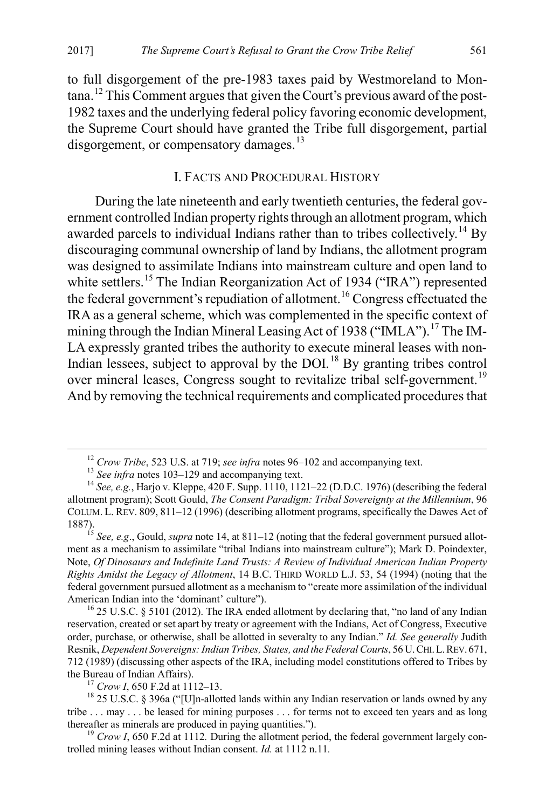to full disgorgement of the pre-1983 taxes paid by Westmoreland to Montana.[12](#page-3-2) This Comment argues that given the Court's previous award of the post-1982 taxes and the underlying federal policy favoring economic development, the Supreme Court should have granted the Tribe full disgorgement, partial disgorgement, or compensatory damages.<sup>[13](#page-3-3)</sup>

#### <span id="page-3-1"></span><span id="page-3-0"></span>I. FACTS AND PROCEDURAL HISTORY

During the late nineteenth and early twentieth centuries, the federal government controlled Indian property rights through an allotment program, which awarded parcels to individual Indians rather than to tribes collectively.<sup>[14](#page-3-4)</sup> By discouraging communal ownership of land by Indians, the allotment program was designed to assimilate Indians into mainstream culture and open land to white settlers.<sup>15</sup> The Indian Reorganization Act of 1934 ("IRA") represented the federal government's repudiation of allotment.<sup>[16](#page-3-6)</sup> Congress effectuated the IRA as a general scheme, which was complemented in the specific context of mining through the Indian Mineral Leasing Act of 1938 ("IMLA").<sup>[17](#page-3-7)</sup> The IM-LA expressly granted tribes the authority to execute mineral leases with non-Indian lessees, subject to approval by the DOI.<sup>[18](#page-3-8)</sup> By granting tribes control over mineral leases, Congress sought to revitalize tribal self-government.<sup>[19](#page-3-9)</sup> And by removing the technical requirements and complicated procedures that

<sup>&</sup>lt;sup>12</sup> Crow Tribe, 523 U.S. at 719; see infra notes [96](#page-11-0)[–102](#page-11-1) and accompanying text.<br><sup>13</sup> See infra notes [103](#page-11-2)[–129](#page-14-0) and accompanying text.<br><sup>14</sup> See, e.g., Harjo v. Kleppe, 420 F. Supp. 1110, 1121–22 (D.D.C. 1976) (describing the

<span id="page-3-4"></span><span id="page-3-3"></span><span id="page-3-2"></span>allotment program); Scott Gould, *The Consent Paradigm: Tribal Sovereignty at the Millennium*, 96 COLUM. L. REV. 809, 811–12 (1996) (describing allotment programs, specifically the Dawes Act of 1887).

<span id="page-3-5"></span><sup>15</sup> *See, e.g*., Gould, *supra* not[e 14,](#page-3-0) at 811–12 (noting that the federal government pursued allotment as a mechanism to assimilate "tribal Indians into mainstream culture"); Mark D. Poindexter, Note, *Of Dinosaurs and Indefinite Land Trusts: A Review of Individual American Indian Property Rights Amidst the Legacy of Allotment*, 14 B.C. THIRD WORLD L.J. 53, 54 (1994) (noting that the federal government pursued allotment as a mechanism to "create more assimilation of the individual American Indian into the 'dominant' culture").<br><sup>16</sup> 25 U.S.C. § 5101 (2012). The IRA ended allotment by declaring that, "no land of any Indian

<span id="page-3-6"></span>reservation, created or set apart by treaty or agreement with the Indians, Act of Congress, Executive order, purchase, or otherwise, shall be allotted in severalty to any Indian." *Id. See generally* Judith Resnik, *Dependent Sovereigns: Indian Tribes, States, and the Federal Courts*, 56 U.CHI.L.REV. 671, 712 (1989) (discussing other aspects of the IRA, including model constitutions offered to Tribes by

<span id="page-3-8"></span><span id="page-3-7"></span><sup>&</sup>lt;sup>17</sup> *Crow I*, 650 F.2d at 1112–13.<br><sup>18</sup> 25 U.S.C. § 396a ("[U]n-allotted lands within any Indian reservation or lands owned by any tribe . . . may . . . be leased for mining purposes . . . for terms not to exceed ten years and as long thereafter as minerals are produced in paying quantities.").<br><sup>19</sup> *Crow I*, 650 F.2d at 1112. During the allotment period, the federal government largely con-

<span id="page-3-9"></span>trolled mining leases without Indian consent. *Id.* at 1112 n.11*.*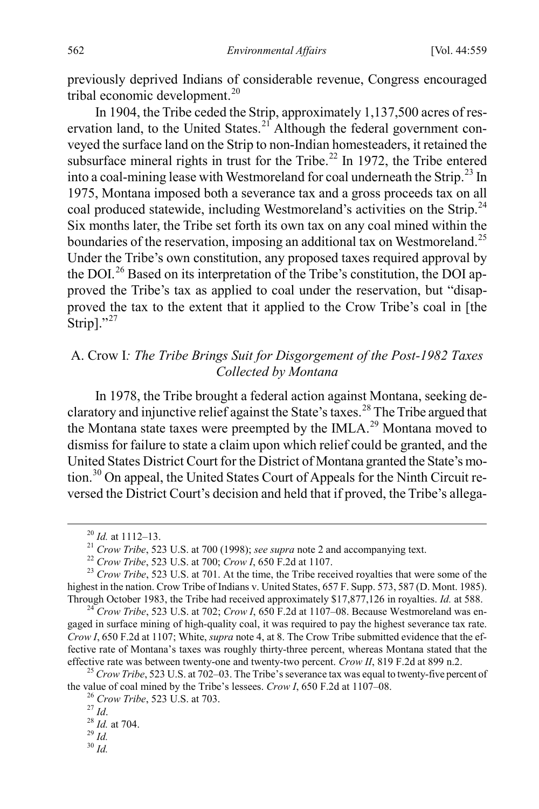<span id="page-4-16"></span>previously deprived Indians of considerable revenue, Congress encouraged tribal economic development.[20](#page-4-4)

<span id="page-4-1"></span><span id="page-4-0"></span>In 1904, the Tribe ceded the Strip, approximately 1,137,500 acres of res-ervation land, to the United States.<sup>[21](#page-4-5)</sup> Although the federal government conveyed the surface land on the Strip to non-Indian homesteaders, it retained the subsurface mineral rights in trust for the Tribe.<sup>[22](#page-4-6)</sup> In 1972, the Tribe entered into a coal-mining lease with Westmoreland for coal underneath the Strip.<sup>[23](#page-4-7)</sup> In 1975, Montana imposed both a severance tax and a gross proceeds tax on all coal produced statewide, including Westmoreland's activities on the Strip.<sup>[24](#page-4-8)</sup> Six months later, the Tribe set forth its own tax on any coal mined within the boundaries of the reservation, imposing an additional tax on Westmoreland.<sup>[25](#page-4-9)</sup> Under the Tribe's own constitution, any proposed taxes required approval by the DOI.<sup>[26](#page-4-10)</sup> Based on its interpretation of the Tribe's constitution, the DOI approved the Tribe's tax as applied to coal under the reservation, but "disapproved the tax to the extent that it applied to the Crow Tribe's coal in [the Strip]." $^{27}$  $^{27}$  $^{27}$ 

## <span id="page-4-15"></span><span id="page-4-3"></span><span id="page-4-2"></span>A. Crow I*: The Tribe Brings Suit for Disgorgement of the Post-1982 Taxes Collected by Montana*

In 1978, the Tribe brought a federal action against Montana, seeking de-claratory and injunctive relief against the State's taxes.<sup>[28](#page-4-12)</sup> The Tribe argued that the Montana state taxes were preempted by the IMLA.<sup>[29](#page-4-13)</sup> Montana moved to dismiss for failure to state a claim upon which relief could be granted, and the United States District Court for the District of Montana granted the State's mo-tion.<sup>[30](#page-4-14)</sup> On appeal, the United States Court of Appeals for the Ninth Circuit reversed the District Court's decision and held that if proved, the Tribe's allega-

<span id="page-4-7"></span><span id="page-4-6"></span><span id="page-4-5"></span><span id="page-4-4"></span><sup>&</sup>lt;sup>20</sup> *Id.* at 1112–13.<br><sup>21</sup> Crow Tribe, 523 U.S. at 700 (1998); see supra note [2](#page-1-0) and accompanying text.<br><sup>22</sup> Crow Tribe, 523 U.S. at 700; Crow *I*, 650 F.2d at 1107.<br><sup>23</sup> Crow Tribe, 523 U.S. at 701. At the time, the Trib highest in the nation. Crow Tribe of Indians v. United States, 657 F. Supp. 573, 587 (D. Mont. 1985). Through October 1983, the Tribe had received approximately \$17,877,126 in royalties. *Id.* at 588. <sup>24</sup> *Crow Tribe*, 523 U.S. at 702; *Crow I*, 650 F.2d at 1107–08. Because Westmoreland was en-

<span id="page-4-8"></span>gaged in surface mining of high-quality coal, it was required to pay the highest severance tax rate. *Crow I*, 650 F.2d at 1107; White, *supra* note [4,](#page-2-8) at 8. The Crow Tribe submitted evidence that the effective rate of Montana's taxes was roughly thirty-three percent, whereas Montana stated that the effective rate was between twenty-one and twenty-two percent. *Crow II*, 819 F.2d at 899 n.2. 25 *Crow Tribe*, 523 U.S. at 702–03. The Tribe's severance tax was equal to twenty-five percent of

<span id="page-4-12"></span><span id="page-4-11"></span><span id="page-4-10"></span><span id="page-4-9"></span>the value of coal mined by the Tribe's lessees. *Crow I*, 650 F.2d at 1107–08.<br>
<sup>26</sup> *Crow Tribe*, 523 U.S. at 703.<br>
<sup>27</sup> *Id.* <sup>28</sup> *Id.* at 704.<br>
<sup>29</sup> *Id.* <sup>30</sup> *Id*.

<span id="page-4-14"></span><span id="page-4-13"></span>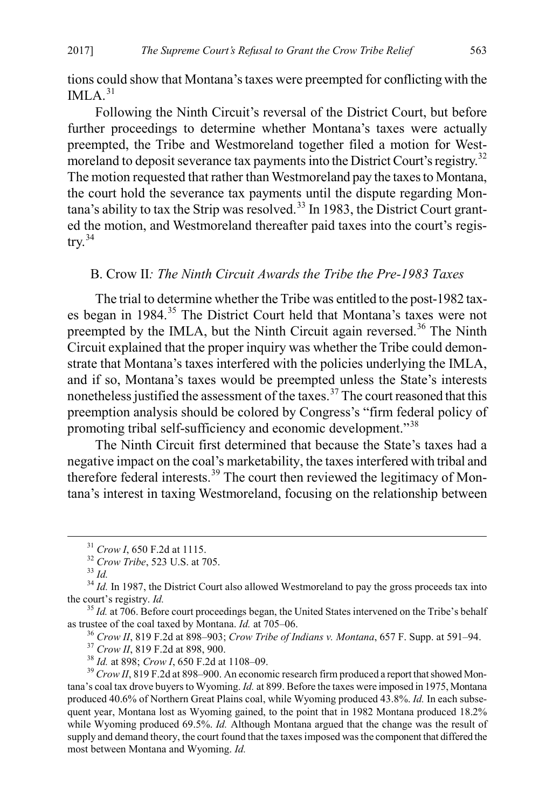tions could show that Montana's taxes were preempted for conflicting with the IMLA $31$ 

Following the Ninth Circuit's reversal of the District Court, but before further proceedings to determine whether Montana's taxes were actually preempted, the Tribe and Westmoreland together filed a motion for West-moreland to deposit severance tax payments into the District Court's registry.<sup>[32](#page-5-2)</sup> The motion requested that rather than Westmoreland pay the taxes to Montana, the court hold the severance tax payments until the dispute regarding Mon- $\tan a$ 's ability to tax the Strip was resolved.<sup>[33](#page-5-3)</sup> In 1983, the District Court granted the motion, and Westmoreland thereafter paid taxes into the court's regis- $try.<sup>34</sup>$  $try.<sup>34</sup>$  $try.<sup>34</sup>$ 

#### <span id="page-5-11"></span><span id="page-5-10"></span><span id="page-5-0"></span>B. Crow II*: The Ninth Circuit Awards the Tribe the Pre-1983 Taxes*

The trial to determine whether the Tribe was entitled to the post-1982 taxes began in 1984.[35](#page-5-5) The District Court held that Montana's taxes were not preempted by the IMLA, but the Ninth Circuit again reversed.<sup>[36](#page-5-6)</sup> The Ninth Circuit explained that the proper inquiry was whether the Tribe could demonstrate that Montana's taxes interfered with the policies underlying the IMLA, and if so, Montana's taxes would be preempted unless the State's interests nonetheless justified the assessment of the taxes.<sup>[37](#page-5-7)</sup> The court reasoned that this preemption analysis should be colored by Congress's "firm federal policy of promoting tribal self-sufficiency and economic development."<sup>[38](#page-5-8)</sup>

The Ninth Circuit first determined that because the State's taxes had a negative impact on the coal's marketability, the taxes interfered with tribal and therefore federal interests.<sup>[39](#page-5-9)</sup> The court then reviewed the legitimacy of Montana's interest in taxing Westmoreland, focusing on the relationship between

<sup>36</sup> Crow II, 819 F.2d at 898–903; Crow Tribe of Indians v. Montana, 657 F. Supp. at 591–94.<br><sup>37</sup> Crow II, 819 F.2d at 898, 900.<br><sup>38</sup> Id. at 898; Crow I, 650 F.2d at 1108–09.<br><sup>39</sup> Crow II, 819 F.2d at 898–900. An economic

<span id="page-5-9"></span><span id="page-5-8"></span><span id="page-5-7"></span>tana's coal tax drove buyers to Wyoming. *Id.* at 899. Before the taxes were imposed in 1975, Montana produced 40.6% of Northern Great Plains coal, while Wyoming produced 43.8%. *Id.* In each subsequent year, Montana lost as Wyoming gained, to the point that in 1982 Montana produced 18.2% while Wyoming produced 69.5%. *Id.* Although Montana argued that the change was the result of supply and demand theory, the court found that the taxes imposed was the component that differed the most between Montana and Wyoming. *Id.*

<span id="page-5-12"></span>

<span id="page-5-3"></span><span id="page-5-2"></span><span id="page-5-1"></span><sup>&</sup>lt;sup>31</sup> *Crow I*, 650 F.2d at 1115.<br><sup>32</sup> *Crow Tribe*, 523 U.S. at 705.<br><sup>33</sup> *Id.* <sup>34</sup> *Id.* In 1987, the District Court also allowed Westmoreland to pay the gross proceeds tax into the court's registry. *Id.* 

<span id="page-5-6"></span><span id="page-5-5"></span><span id="page-5-4"></span><sup>&</sup>lt;sup>35</sup> *Id.* at 706. Before court proceedings began, the United States intervened on the Tribe's behalf as trustee of the coal taxed by Montana. *Id.* at 705–06.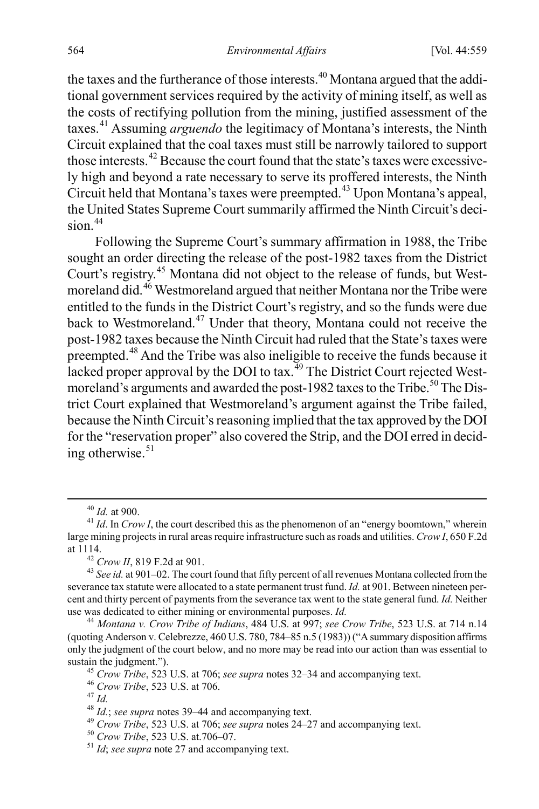<span id="page-6-14"></span>the taxes and the furtherance of those interests.<sup>[40](#page-6-2)</sup> Montana argued that the additional government services required by the activity of mining itself, as well as the costs of rectifying pollution from the mining, justified assessment of the taxes.[41](#page-6-3) Assuming *arguendo* the legitimacy of Montana's interests, the Ninth Circuit explained that the coal taxes must still be narrowly tailored to support those interests.[42](#page-6-4) Because the court found that the state's taxes were excessively high and beyond a rate necessary to serve its proffered interests, the Ninth Circuit held that Montana's taxes were preempted.[43](#page-6-5) Upon Montana's appeal, the United States Supreme Court summarily affirmed the Ninth Circuit's deci- $sin<sup>44</sup>$  $sin<sup>44</sup>$  $sin<sup>44</sup>$ 

<span id="page-6-1"></span>Following the Supreme Court's summary affirmation in 1988, the Tribe sought an order directing the release of the post-1982 taxes from the District Court's registry.[45](#page-6-7) Montana did not object to the release of funds, but Westmoreland did.[46](#page-6-8) Westmoreland argued that neither Montana nor the Tribe were entitled to the funds in the District Court's registry, and so the funds were due back to Westmoreland.<sup>[47](#page-6-9)</sup> Under that theory, Montana could not receive the post-1982 taxes because the Ninth Circuit had ruled that the State's taxes were preempted.[48](#page-6-10) And the Tribe was also ineligible to receive the funds because it lacked proper approval by the DOI to tax.<sup> $49$ </sup> The District Court rejected West-moreland's arguments and awarded the post-1982 taxes to the Tribe.<sup>[50](#page-6-12)</sup> The District Court explained that Westmoreland's argument against the Tribe failed, because the Ninth Circuit's reasoning implied that the tax approved by the DOI for the "reservation proper" also covered the Strip, and the DOI erred in deciding otherwise. $51$ 

<span id="page-6-0"></span>

<span id="page-6-3"></span><span id="page-6-2"></span><sup>&</sup>lt;sup>40</sup> *Id.* at 900.<br><sup>41</sup> *Id.* In *Crow I*, the court described this as the phenomenon of an "energy boomtown," wherein large mining projects in rural areas require infrastructure such as roads and utilities. *Crow I*, 650 F.2d at 1114. 42 *Crow II*, 819 F.2d at 901. <sup>43</sup> *See id.* at 901–02. The court found that fifty percent of all revenues Montana collected from the

<span id="page-6-5"></span><span id="page-6-4"></span>severance tax statute were allocated to a state permanent trust fund. *Id.* at 901. Between nineteen percent and thirty percent of payments from the severance tax went to the state general fund. *Id.* Neither use was dedicated to either mining or environmental purposes. *Id.* <sup>44</sup> *Montana v. Crow Tribe of Indians*, 484 U.S. at 997; *see Crow Tribe*, 523 U.S. at 714 n.14

<span id="page-6-7"></span><span id="page-6-6"></span><sup>(</sup>quoting Anderson v. Celebrezze, 460 U.S. 780, 784–85 n.5 (1983)) ("A summary disposition affirms only the judgment of the court below, and no more may be read into our action than was essential to sustain the judgment.").<br>
<sup>45</sup> Crow Tribe, 523 U.S. at 706; see supra note[s 32](#page-5-10)[–34](#page-5-11) and accompanying text.<br>
<sup>46</sup> Crow Tribe, 523 U.S. at 706.<br>
<sup>47</sup> Id.<br>
<sup>48</sup> Id.; see supra note[s 39](#page-5-12)[–44](#page-6-1) and accompanying text.<br>
<sup>49</sup> Crow Trib

<span id="page-6-8"></span>

<span id="page-6-10"></span><span id="page-6-9"></span>

<span id="page-6-11"></span>

<span id="page-6-12"></span>

<span id="page-6-13"></span>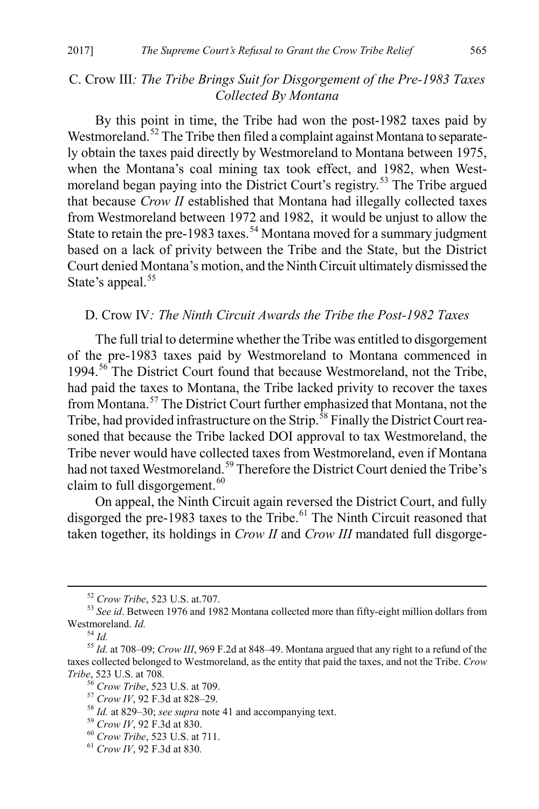### C. Crow III*: The Tribe Brings Suit for Disgorgement of the Pre-1983 Taxes Collected By Montana*

By this point in time, the Tribe had won the post-1982 taxes paid by Westmoreland.<sup>[52](#page-7-0)</sup> The Tribe then filed a complaint against Montana to separately obtain the taxes paid directly by Westmoreland to Montana between 1975, when the Montana's coal mining tax took effect, and 1982, when West-moreland began paying into the District Court's registry.<sup>[53](#page-7-1)</sup> The Tribe argued that because *Crow II* established that Montana had illegally collected taxes from Westmoreland between 1972 and 1982, it would be unjust to allow the State to retain the pre-1983 taxes.<sup>[54](#page-7-2)</sup> Montana moved for a summary judgment based on a lack of privity between the Tribe and the State, but the District Court denied Montana's motion, and the Ninth Circuit ultimately dismissed the State's appeal.<sup>[55](#page-7-3)</sup>

#### D. Crow IV*: The Ninth Circuit Awards the Tribe the Post-1982 Taxes*

The full trial to determine whether the Tribe was entitled to disgorgement of the pre-1983 taxes paid by Westmoreland to Montana commenced in 1994.<sup>[56](#page-7-4)</sup> The District Court found that because Westmoreland, not the Tribe, had paid the taxes to Montana, the Tribe lacked privity to recover the taxes from Montana. [57](#page-7-5) The District Court further emphasized that Montana, not the Tribe, had provided infrastructure on the Strip.<sup>[58](#page-7-6)</sup> Finally the District Court reasoned that because the Tribe lacked DOI approval to tax Westmoreland, the Tribe never would have collected taxes from Westmoreland, even if Montana had not taxed Westmoreland.<sup>[59](#page-7-7)</sup> Therefore the District Court denied the Tribe's claim to full disgorgement.<sup>[60](#page-7-8)</sup>

On appeal, the Ninth Circuit again reversed the District Court, and fully disgorged the pre-1983 taxes to the Tribe.<sup>[61](#page-7-9)</sup> The Ninth Circuit reasoned that taken together, its holdings in *Crow II* and *Crow III* mandated full disgorge-

<span id="page-7-10"></span>

<span id="page-7-1"></span><span id="page-7-0"></span><sup>&</sup>lt;sup>52</sup> *Crow Tribe*, 523 U.S. at.707.<br><sup>53</sup> *See id*. Between 1976 and 1982 Montana collected more than fifty-eight million dollars from Westmoreland. *Id.* 

<span id="page-7-4"></span><span id="page-7-3"></span><span id="page-7-2"></span>Westmoreland. *Id.* <sup>54</sup> *Id.* <sup>55</sup> *Id.* at 708–09; *Crow III*, 969 F.2d at 848–49. Montana argued that any right to a refund of the taxes collected belonged to Westmoreland, as the entity that paid the taxes, and not the Tribe. *Crow* 

<span id="page-7-6"></span><span id="page-7-5"></span>

<sup>&</sup>lt;sup>56</sup> Crow Tribe, 523 U.S. at 709.<br><sup>57</sup> Crow *IV*, 92 F.3d at 828–29.<br><sup>58</sup> *Id.* at 829–30; see supra not[e 41](#page-6-14) and accompanying text.<br><sup>59</sup> Crow *IV*, 92 F.3d at 830.<br><sup>60</sup> Crow Tribe, 523 U.S. at 711.<br><sup>61</sup> Crow *IV*. 92 F.3d

<span id="page-7-7"></span>

<span id="page-7-8"></span>

<span id="page-7-9"></span>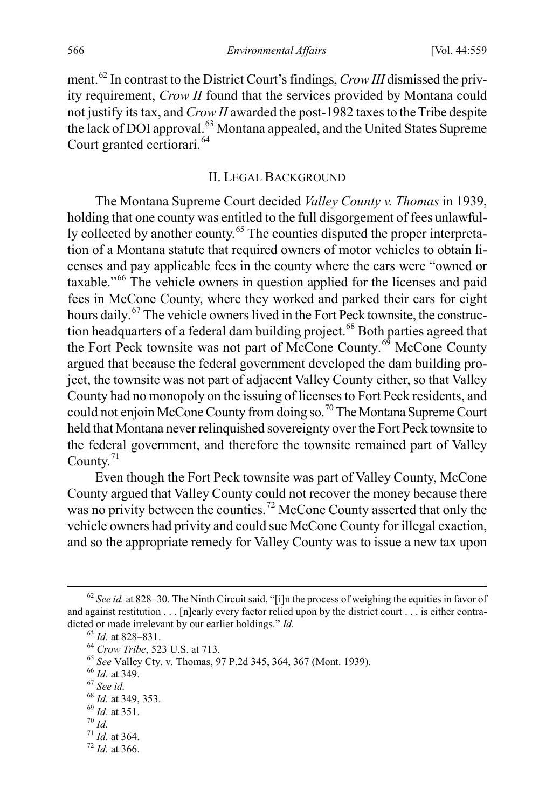ment.[62](#page-8-0) In contrast to the District Court's findings, *Crow III* dismissed the privity requirement, *Crow II* found that the services provided by Montana could not justify its tax, and *Crow II* awarded the post-1982 taxes to the Tribe despite the lack of DOI approval.<sup>[63](#page-8-1)</sup> Montana appealed, and the United States Supreme Court granted certiorari.<sup>[64](#page-8-2)</sup>

### <span id="page-8-11"></span>II. LEGAL BACKGROUND

The Montana Supreme Court decided *Valley County v. Thomas* in 1939, holding that one county was entitled to the full disgorgement of fees unlawful-ly collected by another county.<sup>[65](#page-8-3)</sup> The counties disputed the proper interpretation of a Montana statute that required owners of motor vehicles to obtain licenses and pay applicable fees in the county where the cars were "owned or taxable."[66](#page-8-4) The vehicle owners in question applied for the licenses and paid fees in McCone County, where they worked and parked their cars for eight hours daily.<sup>67</sup> The vehicle owners lived in the Fort Peck townsite, the construc-tion headquarters of a federal dam building project.<sup>[68](#page-8-6)</sup> Both parties agreed that the Fort Peck townsite was not part of McCone County.<sup>[69](#page-8-7)</sup> McCone County argued that because the federal government developed the dam building project, the townsite was not part of adjacent Valley County either, so that Valley County had no monopoly on the issuing of licenses to Fort Peck residents, and could not enjoin McCone County from doing so.<sup>[70](#page-8-8)</sup> The Montana Supreme Court held that Montana never relinquished sovereignty over the Fort Peck townsite to the federal government, and therefore the townsite remained part of Valley County.<sup>[71](#page-8-9)</sup>

Even though the Fort Peck townsite was part of Valley County, McCone County argued that Valley County could not recover the money because there was no privity between the counties.<sup>[72](#page-8-10)</sup> McCone County asserted that only the vehicle owners had privity and could sue McCone County for illegal exaction, and so the appropriate remedy for Valley County was to issue a new tax upon

- <span id="page-8-9"></span><span id="page-8-8"></span>
- 

<span id="page-8-2"></span><span id="page-8-1"></span><span id="page-8-0"></span><sup>&</sup>lt;sup>62</sup> See id. at 828–30. The Ninth Circuit said, "[i]n the process of weighing the equities in favor of and against restitution . . . [n]early every factor relied upon by the district court . . . is either contra-<br>dicted or made irrelevant by our earlier holdings."  $Id$ . dicted or made irrelevant by our earlier holdings." *Id.*<br>
<sup>63</sup> *Id.* at 828–831.<br>
<sup>64</sup> *Crow Tribe*, 523 U.S. at 713.<br>
<sup>65</sup> *See* Valley Cty. v. Thomas, 97 P.2d 345, 364, 367 (Mont. 1939).<br>
<sup>66</sup> *Id.* at 349.<br>
<sup>67</sup> *See* 

<span id="page-8-3"></span>

<span id="page-8-5"></span><span id="page-8-4"></span>

<span id="page-8-6"></span>

<span id="page-8-7"></span>

<span id="page-8-10"></span>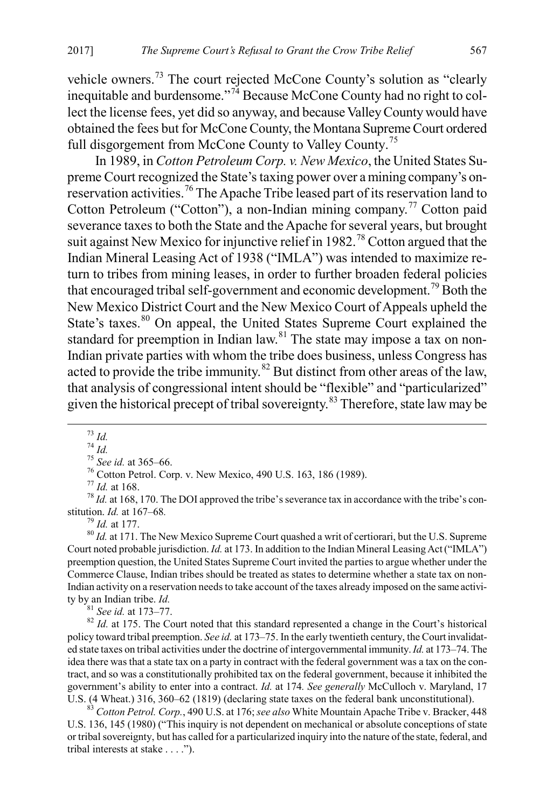vehicle owners.<sup>[73](#page-9-0)</sup> The court rejected McCone County's solution as "clearly inequitable and burdensome."<sup>[74](#page-9-1)</sup> Because McCone County had no right to collect the license fees, yet did so anyway, and because Valley County would have obtained the fees but for McCone County, the Montana Supreme Court ordered full disgorgement from McCone County to Valley County.<sup>[75](#page-9-2)</sup>

In 1989, in *Cotton Petroleum Corp. v. New Mexico*, the United States Supreme Court recognized the State's taxing power over a mining company's onreservation activities.[76](#page-9-3) The Apache Tribe leased part of its reservation land to Cotton Petroleum ("Cotton"), a non-Indian mining company.<sup>[77](#page-9-4)</sup> Cotton paid severance taxes to both the State and the Apache for several years, but brought suit against New Mexico for injunctive relief in 1982.<sup>[78](#page-9-5)</sup> Cotton argued that the Indian Mineral Leasing Act of 1938 ("IMLA") was intended to maximize return to tribes from mining leases, in order to further broaden federal policies that encouraged tribal self-government and economic development.<sup>[79](#page-9-6)</sup> Both the New Mexico District Court and the New Mexico Court of Appeals upheld the State's taxes.<sup>[80](#page-9-7)</sup> On appeal, the United States Supreme Court explained the standard for preemption in Indian law.<sup>[81](#page-9-8)</sup> The state may impose a tax on non-Indian private parties with whom the tribe does business, unless Congress has acted to provide the tribe immunity.<sup>[82](#page-9-9)</sup> But distinct from other areas of the law, that analysis of congressional intent should be "flexible" and "particularized" given the historical precept of tribal sovereignty.<sup>[83](#page-9-10)</sup> Therefore, state law may be

<span id="page-9-3"></span><span id="page-9-2"></span><span id="page-9-1"></span><span id="page-9-0"></span><sup>73</sup> *Id.*<br><sup>74</sup> *Id.*<br><sup>75</sup> *See id.* at 365–66.<br><sup>76</sup> Cotton Petrol. Corp. v. New Mexico, 490 U.S. 163, 186 (1989).<br><sup>77</sup> *Id.* at 168.<br><sup>78</sup> *Id.* at 168, 170. The DOI approved the tribe's severance tax in accordance with t

<span id="page-9-7"></span><span id="page-9-6"></span><span id="page-9-5"></span><span id="page-9-4"></span><sup>79</sup> *Id.* at 177.<br><sup>80</sup> *Id.* at 171. The New Mexico Supreme Court quashed a writ of certiorari, but the U.S. Supreme Court noted probable jurisdiction. *Id.* at 173. In addition to the Indian Mineral Leasing Act ("IMLA") preemption question, the United States Supreme Court invited the parties to argue whether under the Commerce Clause, Indian tribes should be treated as states to determine whether a state tax on non-Indian activity on a reservation needs to take account of the taxes already imposed on the same activity by an Indian tribe. *Id*.

<span id="page-9-9"></span><span id="page-9-8"></span><sup>81</sup> *See id.* at 173–77. **IDE** Court noted that this standard represented a change in the Court's historical  $^{82}$  *Id.* at 175. The Court noted that this standard represented a change in the Court's historical policy toward tribal preemption. *See id.* at 173–75. In the early twentieth century, the Court invalidated state taxes on tribal activities under the doctrine of intergovernmental immunity. *Id.* at 173–74. The idea there was that a state tax on a party in contract with the federal government was a tax on the contract, and so was a constitutionally prohibited tax on the federal government, because it inhibited the government's ability to enter into a contract. *Id.* at 174*. See generally* McCulloch v. Maryland, 17 U.S. (4 Wheat.) 316, 360–62 (1819) (declaring state taxes on the federal bank unconstitutional). 83 *Cotton Petrol. Corp.*, 490 U.S. at 176; *see also* White Mountain Apache Tribe v. Bracker, 448

<span id="page-9-10"></span>U.S. 136, 145 (1980) ("This inquiry is not dependent on mechanical or absolute conceptions of state or tribal sovereignty, but has called for a particularized inquiry into the nature of the state, federal, and tribal interests at stake . . . .").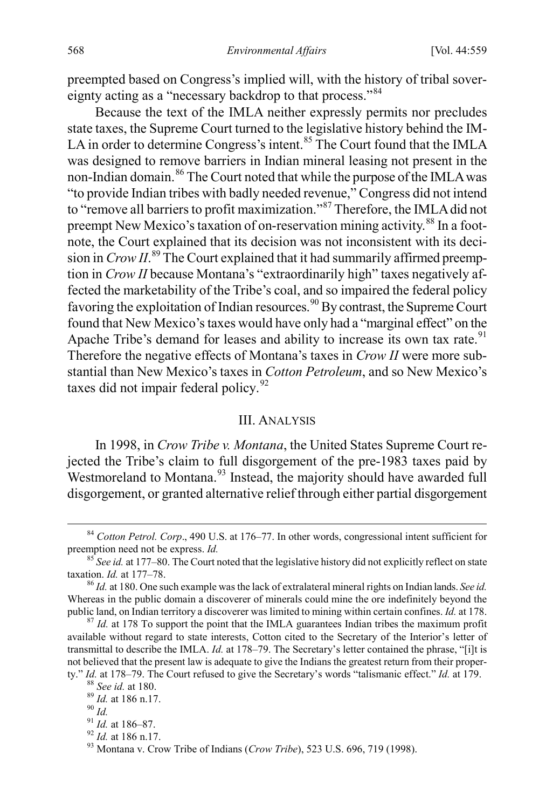preempted based on Congress's implied will, with the history of tribal sovereignty acting as a "necessary backdrop to that process."[84](#page-10-0)

<span id="page-10-10"></span>Because the text of the IMLA neither expressly permits nor precludes state taxes, the Supreme Court turned to the legislative history behind the IM-LA in order to determine Congress's intent.<sup>[85](#page-10-1)</sup> The Court found that the IMLA was designed to remove barriers in Indian mineral leasing not present in the non-Indian domain.<sup>[86](#page-10-2)</sup> The Court noted that while the purpose of the IMLA was "to provide Indian tribes with badly needed revenue," Congress did not intend to "remove all barriers to profit maximization."[87](#page-10-3) Therefore, the IMLA did not preempt New Mexico's taxation of on-reservation mining activity.<sup>[88](#page-10-4)</sup> In a footnote, the Court explained that its decision was not inconsistent with its decision in *Crow II*. [89](#page-10-5) The Court explained that it had summarily affirmed preemption in *Crow II* because Montana's "extraordinarily high" taxes negatively affected the marketability of the Tribe's coal, and so impaired the federal policy favoring the exploitation of Indian resources.<sup>[90](#page-10-6)</sup> By contrast, the Supreme Court found that New Mexico's taxes would have only had a "marginal effect" on the Apache Tribe's demand for leases and ability to increase its own tax rate.<sup>[91](#page-10-7)</sup> Therefore the negative effects of Montana's taxes in *Crow II* were more substantial than New Mexico's taxes in *Cotton Petroleum*, and so New Mexico's taxes did not impair federal policy.<sup>[92](#page-10-8)</sup>

#### <span id="page-10-11"></span>III. ANALYSIS

In 1998, in *Crow Tribe v. Montana*, the United States Supreme Court rejected the Tribe's claim to full disgorgement of the pre-1983 taxes paid by Westmoreland to Montana.<sup>[93](#page-10-9)</sup> Instead, the majority should have awarded full disgorgement, or granted alternative relief through either partial disgorgement

<span id="page-10-0"></span><sup>&</sup>lt;sup>84</sup> *Cotton Petrol. Corp.*, 490 U.S. at 176–77. In other words, congressional intent sufficient for preemption need not be express. *Id.* 

<span id="page-10-1"></span><sup>&</sup>lt;sup>85</sup> *See id.* at 177–80. The Court noted that the legislative history did not explicitly reflect on state taxation. *Id.* at 177–78.

<span id="page-10-2"></span><sup>&</sup>lt;sup>86</sup> *Id.* at 180. One such example was the lack of extralateral mineral rights on Indian lands. *See id.* Whereas in the public domain a discoverer of minerals could mine the ore indefinitely beyond the public land, on Indian territory a discoverer was limited to mining within certain confines. *Id.* at 178. <sup>87</sup> *Id.* at 178 To support the point that the IMLA guarantees Indian tribes the maximum profit

<span id="page-10-3"></span>available without regard to state interests, Cotton cited to the Secretary of the Interior's letter of transmittal to describe the IMLA. *Id.* at 178–79. The Secretary's letter contained the phrase, "[i]t is not believed that the present law is adequate to give the Indians the greatest return from their proper-

<span id="page-10-9"></span><span id="page-10-8"></span>

<span id="page-10-7"></span><span id="page-10-6"></span><span id="page-10-5"></span><span id="page-10-4"></span>ty." *Id.* at 178–79. The Court refused to give the Secretary's words "talismanic effect." *Id.* at 179.<br><sup>88</sup> See id. at 180.<br><sup>89</sup> Id. at 186 n.17.<br><sup>91</sup> Id. at 186–87.<br><sup>91</sup> Id. at 186–87.<br><sup>92</sup> Id. at 186 n.17.<br><sup>93</sup> Montan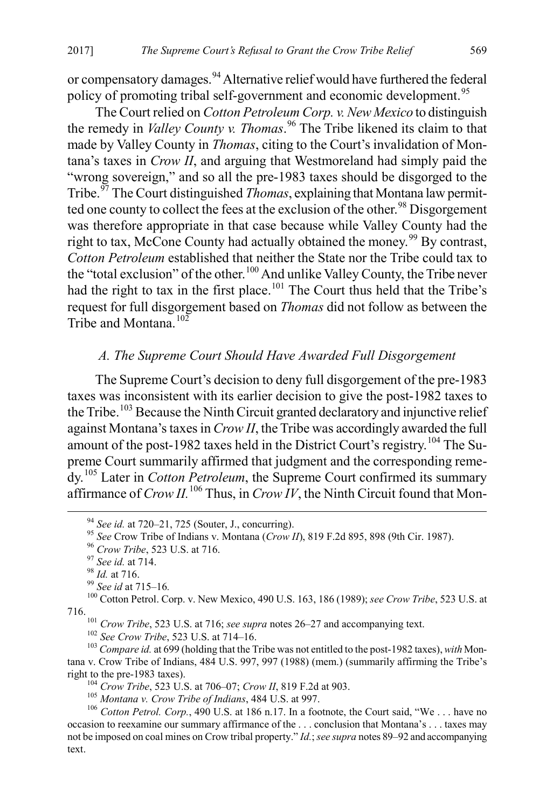or compensatory damages.<sup>[94](#page-11-3)</sup> Alternative relief would have furthered the federal policy of promoting tribal self-government and economic development.<sup>[95](#page-11-4)</sup>

<span id="page-11-0"></span>The Court relied on *Cotton Petroleum Corp. v. New Mexico* to distinguish the remedy in *Valley County v. Thomas*. [96](#page-11-5) The Tribe likened its claim to that made by Valley County in *Thomas*, citing to the Court's invalidation of Montana's taxes in *Crow II*, and arguing that Westmoreland had simply paid the "wrong sovereign," and so all the pre-1983 taxes should be disgorged to the Tribe.[97](#page-11-6) The Court distinguished *Thomas*, explaining that Montana law permit-ted one county to collect the fees at the exclusion of the other.<sup>[98](#page-11-7)</sup> Disgorgement was therefore appropriate in that case because while Valley County had the right to tax, McCone County had actually obtained the money.<sup>[99](#page-11-8)</sup> By contrast, *Cotton Petroleum* established that neither the State nor the Tribe could tax to the "total exclusion" of the other.[100](#page-11-9) And unlike Valley County, the Tribe never had the right to tax in the first place.<sup>[101](#page-11-10)</sup> The Court thus held that the Tribe's request for full disgorgement based on *Thomas* did not follow as between the Tribe and Montana<sup>[102](#page-11-11)</sup>

## <span id="page-11-1"></span>*A. The Supreme Court Should Have Awarded Full Disgorgement*

<span id="page-11-2"></span>The Supreme Court's decision to deny full disgorgement of the pre-1983 taxes was inconsistent with its earlier decision to give the post-1982 taxes to the Tribe.<sup>[103](#page-11-12)</sup> Because the Ninth Circuit granted declaratory and injunctive relief against Montana's taxes in *Crow II*, the Tribe was accordingly awarded the full amount of the post-1982 taxes held in the District Court's registry.[104](#page-11-13) The Supreme Court summarily affirmed that judgment and the corresponding remedy.[105](#page-11-14) Later in *Cotton Petroleum*, the Supreme Court confirmed its summary affirmance of  $Crow II$ .<sup>[106](#page-11-15)</sup> Thus, in  $Crow IV$ , the Ninth Circuit found that Mon-

<span id="page-11-12"></span><span id="page-11-11"></span><span id="page-11-10"></span><sup>101</sup> Crow Tribe, 523 U.S. at 716; *see supra* note[s 26–](#page-4-15)[27](#page-4-3) and accompanying text.<br><sup>102</sup> See Crow Tribe, 523 U.S. at 714–16.<br><sup>103</sup> Compare id. at 699 (holding that the Tribe was not entitled to the post-1982 taxes), *with* tana v. Crow Tribe of Indians, 484 U.S. 997, 997 (1988) (mem.) (summarily affirming the Tribe's

<span id="page-11-4"></span><span id="page-11-3"></span><sup>&</sup>lt;sup>94</sup> See id. at 720–21, 725 (Souter, J., concurring).<br>
<sup>95</sup> See Crow Tribe of Indians v. Montana (*Crow II*), 819 F.2d 895, 898 (9th Cir. 1987).<br>
<sup>96</sup> Crow Tribe, 523 U.S. at 716.<br>
<sup>97</sup> See id. at 714.<br>
<sup>98</sup> Id. at 715–16

<span id="page-11-9"></span><span id="page-11-8"></span><span id="page-11-7"></span><span id="page-11-6"></span><span id="page-11-5"></span><sup>716.</sup> 

<span id="page-11-15"></span><span id="page-11-14"></span><span id="page-11-13"></span><sup>&</sup>lt;sup>104</sup> Crow Tribe, 523 U.S. at 706–07; Crow II, 819 F.2d at 903.<br><sup>105</sup> Montana v. Crow Tribe of Indians, 484 U.S. at 997.<br><sup>106</sup> Cotton Petrol. Corp., 490 U.S. at 186 n.17. In a footnote, the Court said, "We... have no occasion to reexamine our summary affirmance of the . . . conclusion that Montana's . . . taxes may not be imposed on coal mines on Crow tribal property." *Id.*; *see supra* note[s 89](#page-10-10)[–92](#page-10-11) and accompanying text.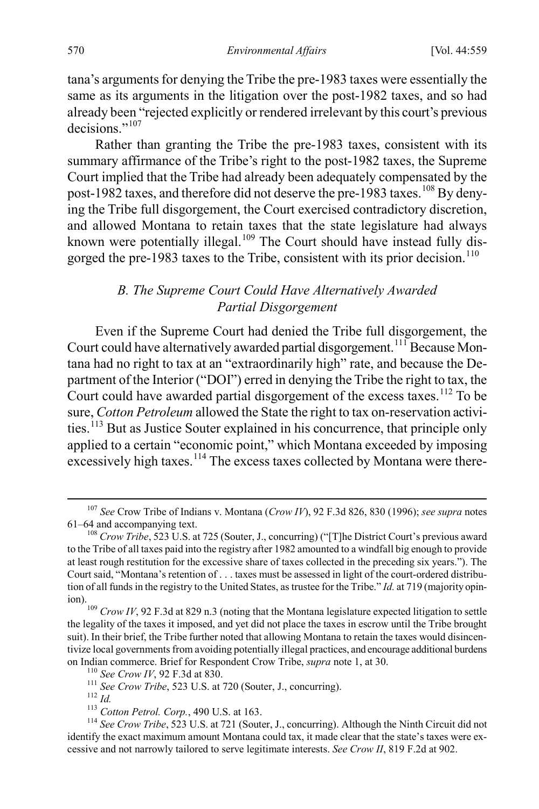tana's arguments for denying the Tribe the pre-1983 taxes were essentially the same as its arguments in the litigation over the post-1982 taxes, and so had already been "rejected explicitly or rendered irrelevant by this court's previous decisions."<sup>107</sup>

Rather than granting the Tribe the pre-1983 taxes, consistent with its summary affirmance of the Tribe's right to the post-1982 taxes, the Supreme Court implied that the Tribe had already been adequately compensated by the post-1982 taxes, and therefore did not deserve the pre-1983 taxes.<sup>[108](#page-12-1)</sup> By denying the Tribe full disgorgement, the Court exercised contradictory discretion, and allowed Montana to retain taxes that the state legislature had always known were potentially illegal.<sup>[109](#page-12-2)</sup> The Court should have instead fully dis-gorged the pre-1983 taxes to the Tribe, consistent with its prior decision.<sup>[110](#page-12-3)</sup>

#### *B. The Supreme Court Could Have Alternatively Awarded Partial Disgorgement*

Even if the Supreme Court had denied the Tribe full disgorgement, the Court could have alternatively awarded partial disgorgement.<sup>111</sup> Because Montana had no right to tax at an "extraordinarily high" rate, and because the Department of the Interior ("DOI") erred in denying the Tribe the right to tax, the Court could have awarded partial disgorgement of the excess taxes.<sup>112</sup> To be sure, *Cotton Petroleum* allowed the State the right to tax on-reservation activi-ties.<sup>[113](#page-12-6)</sup> But as Justice Souter explained in his concurrence, that principle only applied to a certain "economic point," which Montana exceeded by imposing excessively high taxes.<sup>[114](#page-12-7)</sup> The excess taxes collected by Montana were there-

<span id="page-12-0"></span> <sup>107</sup> *See* Crow Tribe of Indians v. Montana (*Crow IV*), 92 F.3d 826, 830 (1996); *see supra* notes

<span id="page-12-1"></span><sup>&</sup>lt;sup>108</sup> Crow Tribe, 523 U.S. at 725 (Souter, J., concurring) ("[T]he District Court's previous award to the Tribe of all taxes paid into the registry after 1982 amounted to a windfall big enough to provide at least rough restitution for the excessive share of taxes collected in the preceding six years."). The Court said, "Montana's retention of . . . taxes must be assessed in light of the court-ordered distribution of all funds in the registry to the United States, as trustee for the Tribe." *Id.* at 719 (majority opin-

<span id="page-12-2"></span>ion).<br><sup>109</sup> *Crow IV*, 92 F.3d at 829 n.3 (noting that the Montana legislature expected litigation to settle the legality of the taxes it imposed, and yet did not place the taxes in escrow until the Tribe brought suit). In their brief, the Tribe further noted that allowing Montana to retain the taxes would disincentivize local governments from avoiding potentially illegal practices, and encourage additional burdens on Indian commerce. Brief for Respondent Crow Tribe, *supra* note [1,](#page-1-5) at 30.<br>
<sup>110</sup> See Crow IV, 92 F.3d at 830.<br>
<sup>111</sup> See Crow Tribe, 523 U.S. at 720 (Souter, J., concurring).<br>
<sup>112</sup> Id.<br>
<sup>113</sup> Cotton Petrol. Corp., 490

<span id="page-12-7"></span><span id="page-12-6"></span><span id="page-12-5"></span><span id="page-12-4"></span><span id="page-12-3"></span>identify the exact maximum amount Montana could tax, it made clear that the state's taxes were excessive and not narrowly tailored to serve legitimate interests. *See Crow II*, 819 F.2d at 902.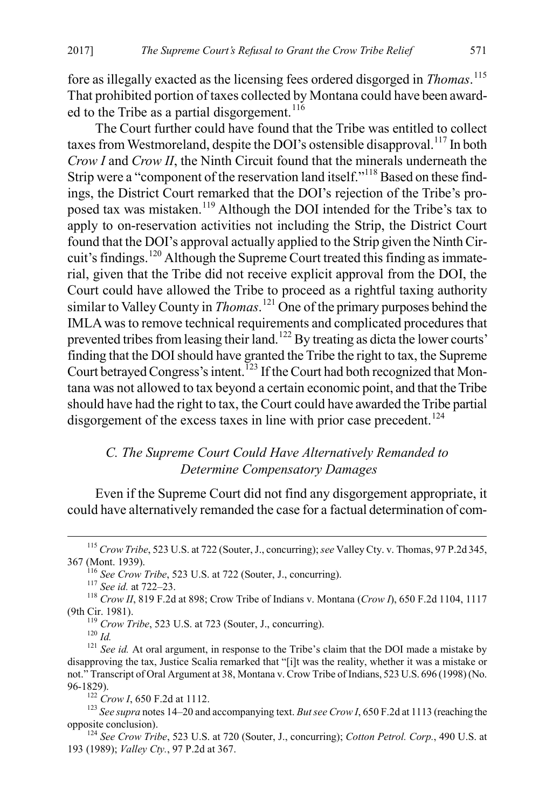fore as illegally exacted as the licensing fees ordered disgorged in *Thomas*. [115](#page-13-0) That prohibited portion of taxes collected by Montana could have been award-ed to the Tribe as a partial disgorgement.<sup>[116](#page-13-1)</sup>

The Court further could have found that the Tribe was entitled to collect taxes from Westmoreland, despite the DOI's ostensible disapproval.<sup>[117](#page-13-2)</sup> In both *Crow I* and *Crow II*, the Ninth Circuit found that the minerals underneath the Strip were a "component of the reservation land itself."<sup>[118](#page-13-3)</sup> Based on these findings, the District Court remarked that the DOI's rejection of the Tribe's proposed tax was mistaken.[119](#page-13-4) Although the DOI intended for the Tribe's tax to apply to on-reservation activities not including the Strip, the District Court found that the DOI's approval actually applied to the Strip given the Ninth Circuit's findings.[120](#page-13-5) Although the Supreme Court treated this finding as immaterial, given that the Tribe did not receive explicit approval from the DOI, the Court could have allowed the Tribe to proceed as a rightful taxing authority similar to Valley County in *Thomas*. [121](#page-13-6) One of the primary purposes behind the IMLA was to remove technical requirements and complicated procedures that prevented tribes from leasing their land.<sup>[122](#page-13-7)</sup> By treating as dicta the lower courts' finding that the DOI should have granted the Tribe the right to tax, the Supreme Court betrayed Congress's intent.<sup>[123](#page-13-8)</sup> If the Court had both recognized that Montana was not allowed to tax beyond a certain economic point, and that the Tribe should have had the right to tax, the Court could have awarded the Tribe partial disgorgement of the excess taxes in line with prior case precedent.<sup>[124](#page-13-9)</sup>

## *C. The Supreme Court Could Have Alternatively Remanded to Determine Compensatory Damages*

Even if the Supreme Court did not find any disgorgement appropriate, it could have alternatively remanded the case for a factual determination of com-

<span id="page-13-0"></span> <sup>115</sup> *Crow Tribe*, 523 U.S. at 722 (Souter, J., concurring); *see* Valley Cty. v. Thomas, 97 P.2d 345,

<span id="page-13-3"></span><span id="page-13-2"></span><span id="page-13-1"></span><sup>&</sup>lt;sup>116</sup> *See Crow Tribe*, 523 U.S. at 722 (Souter, J., concurring). <sup>117</sup> *See id.* at 722–23. <sup>118</sup> *Crow II*, 819 F.2d at 898; Crow Tribe of Indians v. Montana (*Crow I*), 650 F.2d 1104, 1117 (9th Cir. 1981).<br><sup>119</sup> *Crow Tribe*, 523 U.S. at 723 (Souter, J., concurring).<br><sup>120</sup> *Id.* <sup>121</sup> *See id.* At oral argument, in response to the Tribe's claim that the DOI made a mistake by

<span id="page-13-6"></span><span id="page-13-5"></span><span id="page-13-4"></span>disapproving the tax, Justice Scalia remarked that "[i]t was the reality, whether it was a mistake or not." Transcript of Oral Argument at 38, Montana v. Crow Tribe of Indians, 523 U.S. 696 (1998) (No.

<span id="page-13-8"></span><span id="page-13-7"></span><sup>&</sup>lt;sup>122</sup> *Crow I*, 650 F.2d at 1112.<br><sup>123</sup> *See supra* note[s 14](#page-3-0)[–20](#page-4-16) and accompanying text. *But see Crow I*, 650 F.2d at 1113 (reaching the opposite conclusion). <sup>124</sup> *See Crow Tribe*, 523 U.S. at 720 (Souter, J., concurring); *Cotton Petrol. Corp.*, 490 U.S. at

<span id="page-13-9"></span><sup>193</sup> (1989); *Valley Cty.*, 97 P.2d at 367.